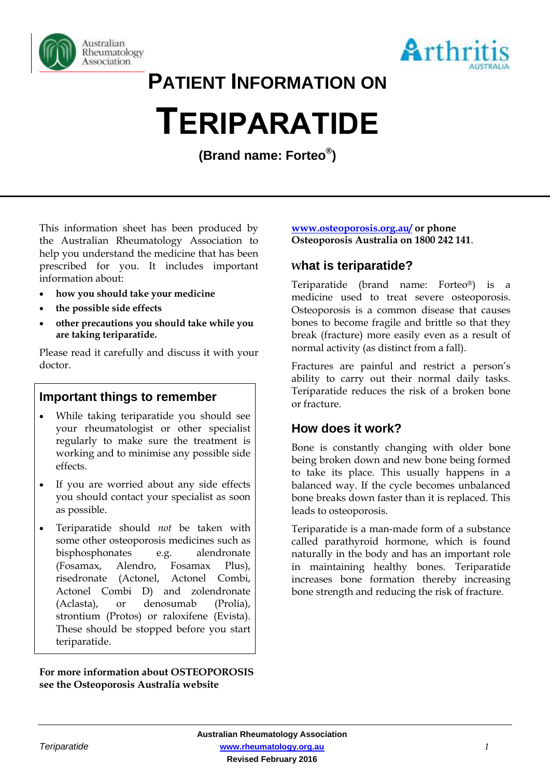



**PATIENT INFORMATION ON**

# **TERIPARATIDE**

**(Brand name: Forteo® )**

This information sheet has been produced by the Australian Rheumatology Association to help you understand the medicine that has been prescribed for you. It includes important information about:

- **how you should take your medicine**
- **the possible side effects**
- **other precautions you should take while you are taking teriparatide.**

Please read it carefully and discuss it with your doctor.

## **Important things to remember**

- While taking teriparatide you should see your rheumatologist or other specialist regularly to make sure the treatment is working and to minimise any possible side effects.
- If you are worried about any side effects you should contact your specialist as soon as possible.
- Teriparatide should *not* be taken with some other osteoporosis medicines such as bisphosphonates e.g. alendronate (Fosamax, Alendro, Fosamax Plus), risedronate (Actonel, Actonel Combi, Actonel Combi D) and zolendronate (Aclasta), or denosumab (Prolia), strontium (Protos) or raloxifene (Evista). These should be stopped before you start teriparatide.

#### **For more information about OSTEOPOROSIS see the Osteoporosis Australia website**

#### **[www.osteoporosis.org.au/](http://www.osteoporosis.org.au/) or phone Osteoporosis Australia on 1800 242 141**.

## **What is teriparatide?**

Teriparatide (brand name: Forteo®) is a medicine used to treat severe osteoporosis. Osteoporosis is a common disease that causes bones to become fragile and brittle so that they break (fracture) more easily even as a result of normal activity (as distinct from a fall).

Fractures are painful and restrict a person's ability to carry out their normal daily tasks. Teriparatide reduces the risk of a broken bone or fracture.

## **How does it work?**

Bone is constantly changing with older bone being broken down and new bone being formed to take its place. This usually happens in a balanced way. If the cycle becomes unbalanced bone breaks down faster than it is replaced. This leads to osteoporosis.

Teriparatide is a man-made form of a substance called parathyroid hormone, which is found naturally in the body and has an important role in maintaining healthy bones. Teriparatide increases bone formation thereby increasing bone strength and reducing the risk of fracture.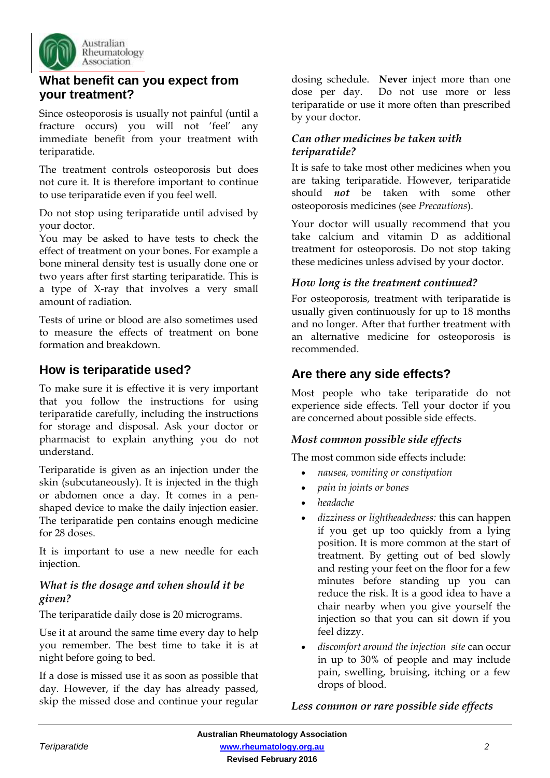

## **What benefit can you expect from your treatment?**

Since osteoporosis is usually not painful (until a fracture occurs) you will not 'feel' any immediate benefit from your treatment with teriparatide.

The treatment controls osteoporosis but does not cure it. It is therefore important to continue to use teriparatide even if you feel well.

Do not stop using teriparatide until advised by your doctor.

You may be asked to have tests to check the effect of treatment on your bones. For example a bone mineral density test is usually done one or two years after first starting teriparatide. This is a type of X-ray that involves a very small amount of radiation.

Tests of urine or blood are also sometimes used to measure the effects of treatment on bone formation and breakdown.

## **How is teriparatide used?**

To make sure it is effective it is very important that you follow the instructions for using teriparatide carefully, including the instructions for storage and disposal. Ask your doctor or pharmacist to explain anything you do not understand.

Teriparatide is given as an injection under the skin (subcutaneously). It is injected in the thigh or abdomen once a day. It comes in a penshaped device to make the daily injection easier. The teriparatide pen contains enough medicine for 28 doses.

It is important to use a new needle for each injection.

#### *What is the dosage and when should it be given?*

The teriparatide daily dose is 20 micrograms.

Use it at around the same time every day to help you remember. The best time to take it is at night before going to bed.

If a dose is missed use it as soon as possible that day. However, if the day has already passed, skip the missed dose and continue your regular

dosing schedule. **Never** inject more than one dose per day. Do not use more or less teriparatide or use it more often than prescribed by your doctor.

#### *Can other medicines be taken with teriparatide?*

It is safe to take most other medicines when you are taking teriparatide. However, teriparatide should *not* be taken with some other osteoporosis medicines (see *Precautions*).

Your doctor will usually recommend that you take calcium and vitamin D as additional treatment for osteoporosis. Do not stop taking these medicines unless advised by your doctor.

#### *How long is the treatment continued?*

For osteoporosis, treatment with teriparatide is usually given continuously for up to 18 months and no longer. After that further treatment with an alternative medicine for osteoporosis is recommended.

# **Are there any side effects?**

Most people who take teriparatide do not experience side effects. Tell your doctor if you are concerned about possible side effects.

#### *Most common possible side effects*

The most common side effects include:

- *nausea, vomiting or constipation*
- *pain in joints or bones*
- *headache*
- *dizziness or lightheadedness:* this can happen if you get up too quickly from a lying position. It is more common at the start of treatment. By getting out of bed slowly and resting your feet on the floor for a few minutes before standing up you can reduce the risk. It is a good idea to have a chair nearby when you give yourself the injection so that you can sit down if you feel dizzy.
- *discomfort around the injection site* can occur in up to 30% of people and may include pain, swelling, bruising, itching or a few drops of blood.

#### *Less common or rare possible side effects*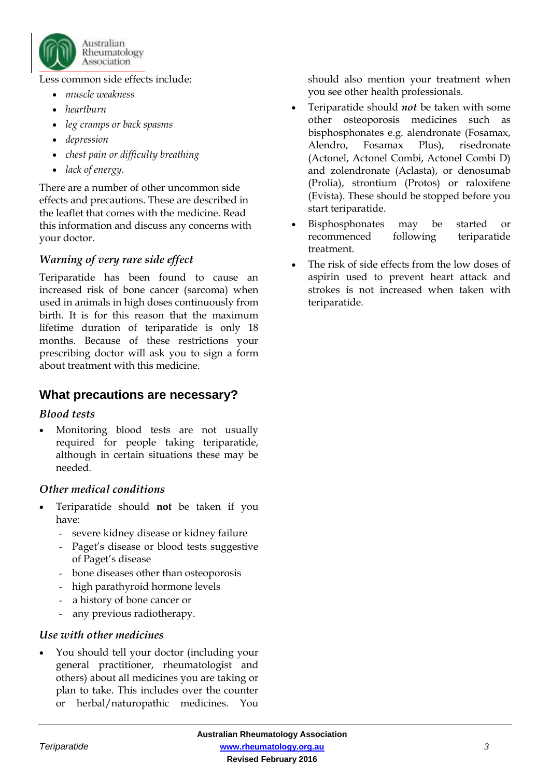

Less common side effects include:

- *muscle weakness*
- *heartburn*
- *leg cramps or back spasms*
- *depression*
- *chest pain or difficulty breathing*
- *lack of energy.*

There are a number of other uncommon side effects and precautions. These are described in the leaflet that comes with the medicine. Read this information and discuss any concerns with your doctor.

## *Warning of very rare side effect*

Teriparatide has been found to cause an increased risk of bone cancer (sarcoma) when used in animals in high doses continuously from birth. It is for this reason that the maximum lifetime duration of teriparatide is only 18 months. Because of these restrictions your prescribing doctor will ask you to sign a form about treatment with this medicine.

## **What precautions are necessary?**

#### *Blood tests*

 Monitoring blood tests are not usually required for people taking teriparatide, although in certain situations these may be needed.

#### *Other medical conditions*

- Teriparatide should **not** be taken if you have:
	- severe kidney disease or kidney failure
	- Paget's disease or blood tests suggestive of Paget's disease
	- bone diseases other than osteoporosis
	- high parathyroid hormone levels
	- a history of bone cancer or
	- any previous radiotherapy.

#### *Use with other medicines*

 You should tell your doctor (including your general practitioner, rheumatologist and others) about all medicines you are taking or plan to take. This includes over the counter or herbal/naturopathic medicines. You should also mention your treatment when you see other health professionals.

- Teriparatide should *not* be taken with some other osteoporosis medicines such as bisphosphonates e.g. alendronate (Fosamax, Alendro, Fosamax Plus), risedronate (Actonel, Actonel Combi, Actonel Combi D) and zolendronate (Aclasta), or denosumab (Prolia), strontium (Protos) or raloxifene (Evista). These should be stopped before you start teriparatide.
- Bisphosphonates may be started or recommenced following teriparatide treatment.
- The risk of side effects from the low doses of aspirin used to prevent heart attack and strokes is not increased when taken with teriparatide.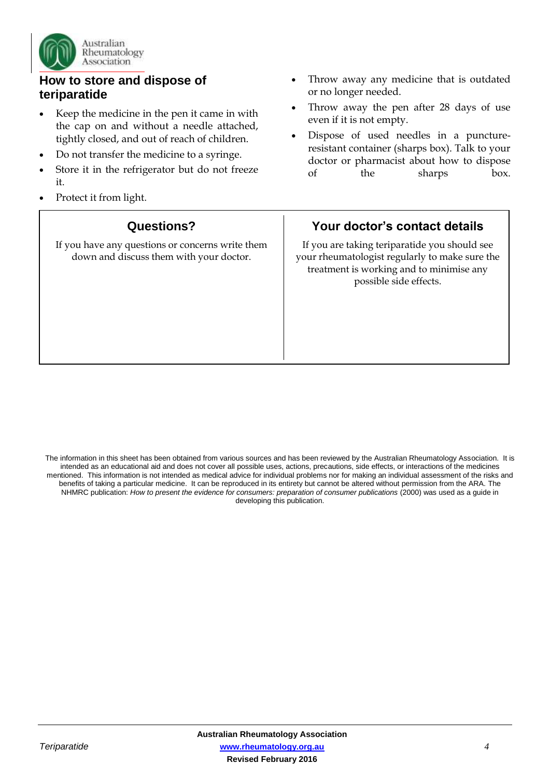

## **How to store and dispose of teriparatide**

- Keep the medicine in the pen it came in with the cap on and without a needle attached, tightly closed, and out of reach of children.
- Do not transfer the medicine to a syringe.
- Store it in the refrigerator but do not freeze it.
- Protect it from light.

## **Questions?**

If you have any questions or concerns write them down and discuss them with your doctor.

- Throw away any medicine that is outdated or no longer needed.
- Throw away the pen after 28 days of use even if it is not empty.
- Dispose of used needles in a punctureresistant container (sharps box). Talk to your doctor or pharmacist about how to dispose of the sharps box.

# **Your doctor's contact details**

If you are taking teriparatide you should see your rheumatologist regularly to make sure the treatment is working and to minimise any possible side effects.

The information in this sheet has been obtained from various sources and has been reviewed by the Australian Rheumatology Association. It is intended as an educational aid and does not cover all possible uses, actions, precautions, side effects, or interactions of the medicines mentioned. This information is not intended as medical advice for individual problems nor for making an individual assessment of the risks and benefits of taking a particular medicine. It can be reproduced in its entirety but cannot be altered without permission from the ARA. The NHMRC publication: *How to present the evidence for consumers: preparation of consumer publications* (2000) was used as a guide in developing this publication.